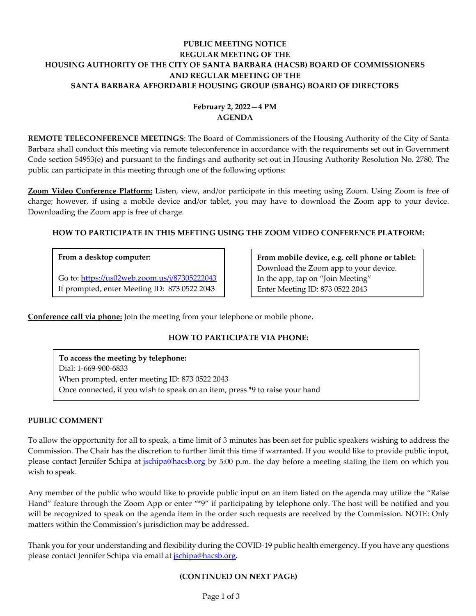# **PUBLIC MEETING NOTICE REGULAR MEETING OF THE HOUSING AUTHORITY OF THE CITY OF SANTA BARBARA (HACSB) BOARD OF COMMISSIONERS AND REGULAR MEETING OF THE SANTA BARBARA AFFORDABLE HOUSING GROUP (SBAHG) BOARD OF DIRECTORS**

# **February 2, 2022—4 PM AGENDA**

**REMOTE TELECONFERENCE MEETINGS**: The Board of Commissioners of the Housing Authority of the City of Santa Barbara shall conduct this meeting via remote teleconference in accordance with the requirements set out in Government Code section 54953(e) and pursuant to the findings and authority set out in Housing Authority Resolution No. 2780. The public can participate in this meeting through one of the following options:

**Zoom Video Conference Platform:** Listen, view, and/or participate in this meeting using Zoom. Using Zoom is free of charge; however, if using a mobile device and/or tablet, you may have to download the Zoom app to your device. Downloading the Zoom app is free of charge.

# **HOW TO PARTICIPATE IN THIS MEETING USING THE ZOOM VIDEO CONFERENCE PLATFORM:**

### **From a desktop computer:**

Go to:<https://us02web.zoom.us/j/87305222043> If prompted, enter Meeting ID: 873 0522 2043

**From mobile device, e.g. cell phone or tablet:** Download the Zoom app to your device. In the app, tap on "Join Meeting" Enter Meeting ID: 873 0522 2043

**Conference call via phone:** Join the meeting from your telephone or mobile phone.

# **HOW TO PARTICIPATE VIA PHONE:**

**To access the meeting by telephone:** Dial: 1-669-900-6833 When prompted, enter meeting ID: 873 0522 2043 Once connected, if you wish to speak on an item, press \*9 to raise your hand

### **PUBLIC COMMENT**

To allow the opportunity for all to speak, a time limit of 3 minutes has been set for public speakers wishing to address the Commission. The Chair has the discretion to further limit this time if warranted. If you would like to provide public input, please contact Jennifer Schipa at *ischipa@hacsb.org* by 5:00 p.m. the day before a meeting stating the item on which you wish to speak.

Any member of the public who would like to provide public input on an item listed on the agenda may utilize the "Raise Hand" feature through the Zoom App or enter "\*9" if participating by telephone only. The host will be notified and you will be recognized to speak on the agenda item in the order such requests are received by the Commission. NOTE: Only matters within the Commission's jurisdiction may be addressed.

Thank you for your understanding and flexibility during the COVID-19 public health emergency. If you have any questions please contact Jennifer Schipa via email at *jschipa@hacsb.org*.

### **(CONTINUED ON NEXT PAGE)**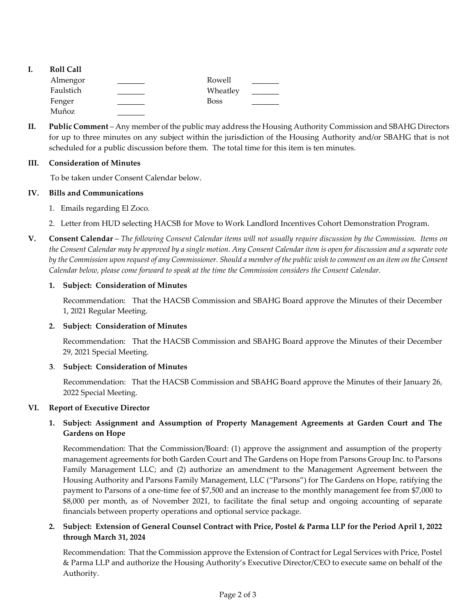- **I. Roll Call \_\_\_\_\_\_\_** Rowell \_\_\_\_\_\_\_ Wheatley \_\_\_\_\_\_\_ Boss \_\_\_\_\_\_\_ Almengor Faulstich Fenger Muñoz \_\_\_\_\_\_\_
- **II. Public Comment** Any member of the public may address the Housing Authority Commission and SBAHG Directors for up to three minutes on any subject within the jurisdiction of the Housing Authority and/or SBAHG that is not scheduled for a public discussion before them. The total time for this item is ten minutes.

## **III. Consideration of Minutes**

To be taken under Consent Calendar below.

## **IV. Bills and Communications**

- 1. [Emails regarding El Zoco.](https://hacsb.org/download/meetings_2022/items/february/Item-IV.1_El-Zoco-Emails.pdf)
- [2. Letter from HUD selecting HACSB for Move to Work Landlord Incentives Cohort Demonstration Program.](https://hacsb.org/download/meetings_2022/items/february/Item-IV.2_HUD-MTW-Selection-Letter.pdf)
- **V. Consent Calendar** *The following Consent Calendar items will not usually require discussion by the Commission. Items on the Consent Calendar may be approved by a single motion. Any Consent Calendar item is open for discussion and a separate vote by the Commission upon request of any Commissioner. Should a member of the public wish to comment on an item on the Consent Calendar below, please come forward to speak at the time the Commission considers the Consent Calendar.*

## **1. Subject: Consideration of Minutes**

Recommendation: That the HACSB Commission [and SBAHG Board approve the Minutes of their December](https://hacsb.org/download/meetings_2022/items/february/Item-V.1_Minutes-12-01-2021.pdf) 1, 2021 Regular Meeting.

### **2. Subject: Consideration of Minutes**

[Recommendation: That the HACSB Commission and SBAHG Board approve the Minutes of their December](https://hacsb.org/download/meetings_2022/items/february/Item-V.2_Minutes-12-29-2021-Special-Meeting.pdf) 29, 2021 Special Meeting.

### **3**. **Subject: Consideration of Minutes**

[Recommendation: That the HACSB Commission and SBAHG Board approve the Minutes of their January 26,](https://hacsb.org/download/meetings_2022/items/february/Item-V.3_Minutes-01-26-2022-Special-Meeting.pdf) 2022 Special Meeting.

### **VI. Report of Executive Director**

# **1. Subject: Assignment and Assumption of Property Management Agreements at Garden Court and The Gardens on Hope**

Recommendation: That the Commission/Board: (1) approve the assignment and assumption of the property management agreements for both Garden Court and The Gardens on Hope from Parsons Group Inc. to Parsons Family Management LLC; and (2) authorize an amendment to the Management Agreement between the [Housing Authority and Parsons Family Management, LLC \("Parsons"\) for The Gardens on Hope, ratifying the](https://hacsb.org/download/meetings_2022/items/february/Item-VI.1_Property-Management-Agreements-Ratification.pdf) payment to Parsons of a one-time fee of \$7,500 and an increase to the monthly management fee from \$7,000 to \$8,000 per month, as of November 2021, to facilitate the final setup and ongoing accounting of separate financials between property operations and optional service package.

# **2. Subject: Extension of General Counsel Contract with Price, Postel & Parma LLP for the Period April 1, 2022 through March 31, 2024**

Recommendation: That the Commission approve the Extension of Contract for Legal Services with Price, Postel [& Parma LLP and authorize the Housing Authority's Executive Director/CEO to execute same on behalf of the](https://hacsb.org/download/meetings_2022/items/february/Item-VI.2_General-Counsel-Contract-Extension.pdf) Authority.